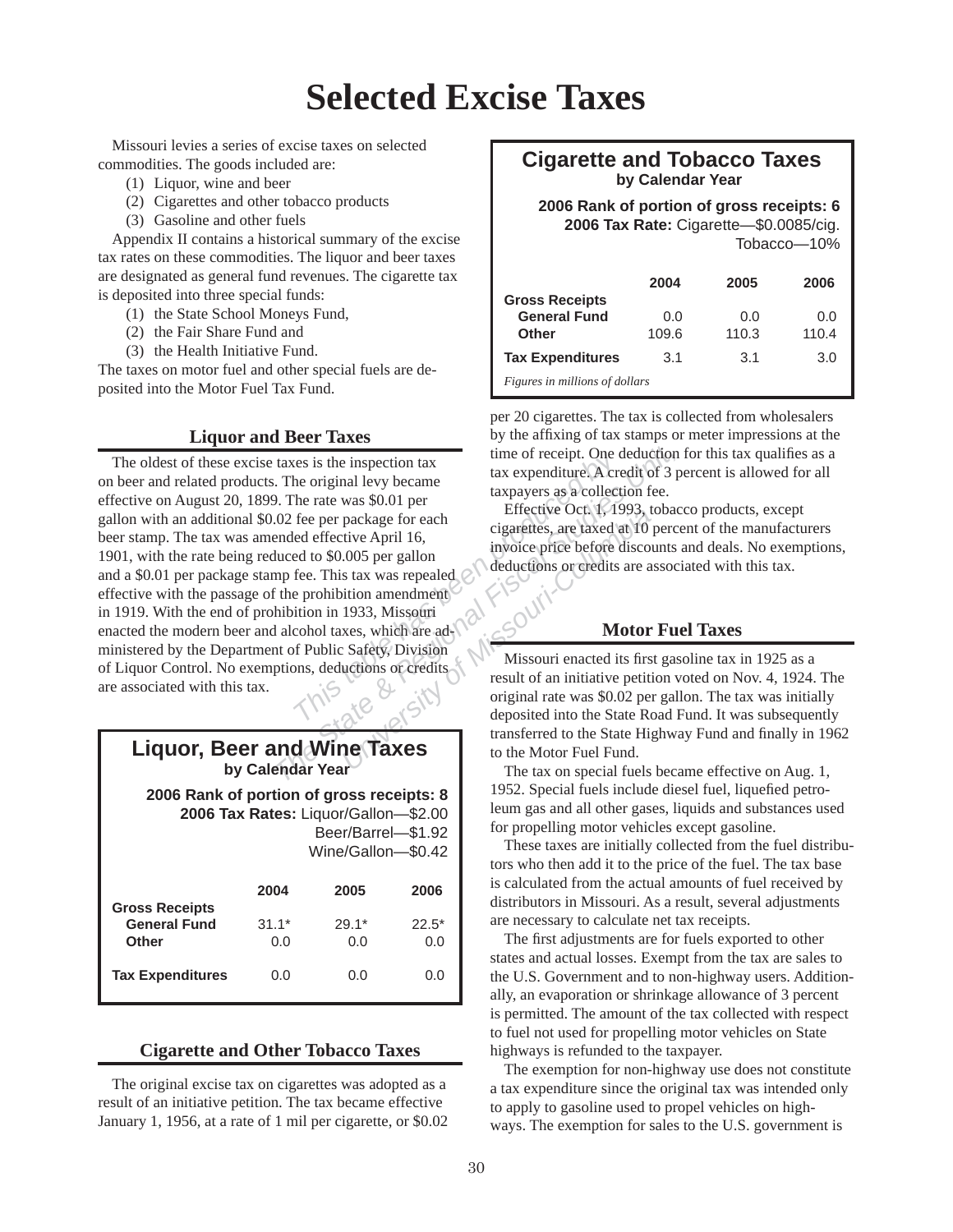# **Selected Excise Taxes**

Missouri levies a series of excise taxes on selected commodities. The goods included are:

- (1) Liquor, wine and beer
- (2) Cigarettes and other tobacco products
- (3) Gasoline and other fuels

Appendix II contains a historical summary of the excise tax rates on these commodities. The liquor and beer taxes are designated as general fund revenues. The cigarette tax is deposited into three special funds:

- (1) the State School Moneys Fund,
- (2) the Fair Share Fund and
- (3) the Health Initiative Fund.

The taxes on motor fuel and other special fuels are de posited into the Motor Fuel Tax Fund.

### **Liquor and Beer Taxes**

Example the inspection tax<br>
the original levy became<br>
the rate was \$0.01 per<br>
the rate was \$0.01 per<br>
the rate was \$0.01 per<br>
ed effective April 16,<br>
ed to \$0.005 per gallon<br>
fee. This tax was repealed<br>
prohibition amendme The State of Particular State State State State State State State State State of the Motor Field Control of Public State State State State State State State State State State State State State State State State State State package for each<br>tive April 16,<br>colos per gallon<br>s tax was repealed<br>ition amendment<br>1933, Missouri<br>xes, which are ad-<br>Safety, Division<br>uctions or credits<br>result of an initiative petitive original rate was \$0.02 per<br>deposit The oldest of these excise taxes is the inspection tax on beer and related products. The original levy became effective on August 20, 1899. The rate was \$0.01 per gallon with an additional \$0.02 fee per package for each beer stamp. The tax was amended effective April 16, 1901, with the rate being reduced to \$0.005 per gallon and a \$0.01 per package stamp fee. This tax was repealed effective with the passage of the prohibition amendment in 1919. With the end of prohibition in 1933, Missouri enacted the modern beer and alcohol taxes, which are ad ministered by the Department of Public Safety, Division of Liquor Control. No exemptions, deductions or credits are associated with this tax.

| <b>Liquor, Beer and Wine Taxes</b><br>by Calendar Year                                                                        |         |         |         |  |  |
|-------------------------------------------------------------------------------------------------------------------------------|---------|---------|---------|--|--|
| 2006 Rank of portion of gross receipts: 8<br>2006 Tax Rates: Liquor/Gallon-\$2.00<br>Beer/Barrel-\$1.92<br>Wine/Gallon-\$0.42 |         |         |         |  |  |
|                                                                                                                               | 2004    | 2005    | 2006    |  |  |
| <b>Gross Receipts</b>                                                                                                         |         |         |         |  |  |
| <b>General Fund</b>                                                                                                           | $31.1*$ | $29.1*$ | $22.5*$ |  |  |
| Other                                                                                                                         | 0.O     | 0.O     | 0.O     |  |  |
| <b>Tax Expenditures</b>                                                                                                       | 0.0     | 0.0     | (1.0)   |  |  |

#### **Cigarette and Other Tobacco Taxes**

The original excise tax on cigarettes was adopted as a result of an initiative petition. The tax became effective January 1, 1956, at a rate of 1 mil per cigarette, or \$0.02

## **Cigarette and Tobacco Taxes by Calendar Year**

 **2006 Rank of portion of gross receipts: 6 2006 Tax Rate:** Cigarette—\$0.0085/cig.

|                                |       |       | $To bacco - 10%$ |  |
|--------------------------------|-------|-------|------------------|--|
|                                | 2004  | 2005  | 2006             |  |
| <b>Gross Receipts</b>          |       |       |                  |  |
| <b>General Fund</b>            | 0.0   | 0.0   | 0.0              |  |
| Other                          | 109.6 | 110.3 | 110.4            |  |
| <b>Tax Expenditures</b>        | 3.1   | 3.1   | 3.0              |  |
| Figures in millions of dollars |       |       |                  |  |

per 20 cigarettes. The tax is collected from wholesalers by the affixing of tax stamps or meter impressions at the time of receipt. One deduction for this tax qualifies as a tax expenditure. A credit of 3 percent is allowed for all taxpayers as a collection fee.

Effective Oct. 1, 1993, tobacco products, except cigarettes, are taxed at 10 percent of the manufacturers invoice price before discounts and deals. No exemptions, deductions or credits are associated with this tax.

## **Motor Fuel Taxes**

Missouri enacted its first gasoline tax in 1925 as a result of an initiative petition voted on Nov. 4, 1924. The original rate was \$0.02 per gallon. The tax was initially deposited into the State Road Fund. It was subsequently transferred to the State Highway Fund and finally in 1962 to the Motor Fuel Fund.

The tax on special fuels became effective on Aug. 1, 1952. Special fuels include diesel fuel, liquefied petroleum gas and all other gases, liquids and substances used for propelling motor vehicles except gasoline.

These taxes are initially collected from the fuel distributors who then add it to the price of the fuel. The tax base is calculated from the actual amounts of fuel received by distributors in Missouri. As a result, several adjustments are necessary to calculate net tax receipts.

The first adjustments are for fuels exported to other states and actual losses. Exempt from the tax are sales to the U.S. Government and to non-highway users. Additionally, an evaporation or shrinkage allowance of 3 percent is permitted. The amount of the tax collected with respect to fuel not used for propelling motor vehicles on State highways is refunded to the taxpayer.

The exemption for non-highway use does not constitute a tax expenditure since the original tax was intended only to apply to gasoline used to propel vehicles on highways. The exemption for sales to the U.S. government is